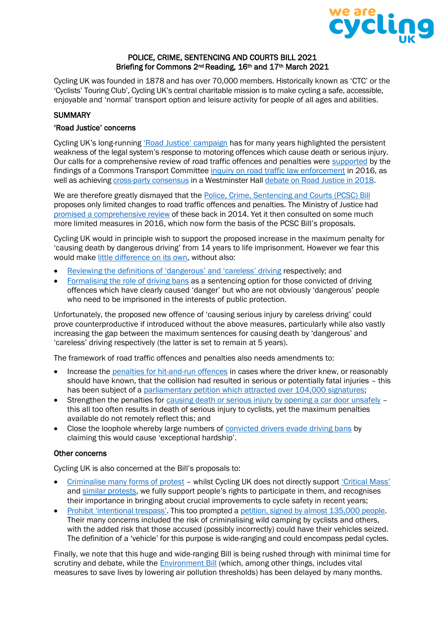

#### POLICE, CRIME, SENTENCING AND COURTS BILL 2021 Briefing for Commons 2<sup>nd</sup> Reading, 16<sup>th</sup> and 17<sup>th</sup> March 2021

Cycling UK was founded in 1878 and has over 70,000 members. Historically known as 'CTC' or the 'Cyclists' Touring Club', Cycling UK's central charitable mission is to make cycling a safe, accessible, enjoyable and 'normal' transport option and leisure activity for people of all ages and abilities.

### **SUMMARY**

#### 'Road Justice' concerns

Cycling UK's long-running ['Road Justice' campaign](https://www.cyclinguk.org/campaign/road-justice) has for many years highlighted the persistent weakness of the legal system's response to motoring offences which cause death or serious injury. Our calls for a comprehensive review of road traffic offences and penalties were [supported](https://www.cyclinguk.org/blog/cherry-allan/mps-back-ctc%E2%80%99s-calls-road-traffic-law-enforcement) by the findings of a Commons Transport Committee [inquiry on road traffic law enforcement](https://publications.parliament.uk/pa/cm201516/cmselect/cmtrans/518/51802.htm) in 2016, as well as achieving [cross-party consensus](https://www.cyclinguk.org/news/mps-criticise-inconsistent-laws-road-justice-debate) in a Westminster Hal[l debate on Road Justice in 2018.](https://hansard.parliament.uk/Commons/2018-11-20/debates/7CCA537F-54DB-4F17-92AE-60DABD4137C6/RoadSafetyAndTheLegalFramework)

We are therefore greatly dismayed that the [Police, Crime, Sentencing and Courts \(PCSC\) Bill](https://bills.parliament.uk/bills/2839) proposes only limited changes to road traffic offences and penalties. The Ministry of Justice had [promised a comprehensive review](https://www.cyclinguk.org/news/government-announces-full-review-of-driving-offences-and-penalties) of these back in 2014. Yet it then consulted on some much more limited measures in 2016, which now form the basis of the PCSC Bill's proposals.

Cycling UK would in principle wish to support the proposed increase in the maximum penalty for 'causing death by dangerous driving' from 14 years to life imprisonment. However we fear this would make [little difference on its own,](https://www.cyclinguk.org/blog/why-increasing-maximum-sentences-killer-drivers-doesnt-fix-problem) without also:

- [Reviewing the definitions of 'dangerous' and 'careless' driving](https://www.cyclinguk.org/article/why-should-government-review-road-traffic-offences-full) respectively; and
- [Formalising the role of driving bans](https://www.cyclinguk.org/news/mp-calls-greater-use-driving-bans) as a sentencing option for those convicted of driving offences which have clearly caused 'danger' but who are not obviously 'dangerous' people who need to be imprisoned in the interests of public protection.

Unfortunately, the proposed new offence of 'causing serious injury by careless driving' could prove counterproductive if introduced without the above measures, particularly while also vastly increasing the gap between the maximum sentences for causing death by 'dangerous' and 'careless' driving respectively (the latter is set to remain at 5 years).

The framework of road traffic offences and penalties also needs amendments to:

- Increase the [penalties for hit-and-run offences](https://www.cyclinguk.org/news/20161009-hit-run-cyclist) in cases where the driver knew, or reasonably should have known, that the collision had resulted in serious or potentially fatal injuries – this has been subject of a [parliamentary petition which attracted over 104,000 signatures;](https://petition.parliament.uk/petitions/323926)
- Strengthen the penalties for [causing death or serious injury by opening a car door unsafely](https://www.cyclinguk.org/article/how-could-law-protect-cyclists-better-car-dooring-or-drivers-who-fail-stop) this all too often results in death of serious injury to cyclists, yet the maximum penalties available do not remotely reflect this; and
- Close the loophole whereby large numbers of [convicted drivers evade driving bans](https://www.cyclinguk.org/press-release/close-driving-ban-loophole-demands-cycling-uk) by claiming this would cause 'exceptional hardship'.

#### Other concerns

Cycling UK is also concerned at the Bill's proposals to:

- [Criminalise many forms of protest](https://www.libertyhumanrights.org.uk/issue/policing-bill-threatens-protest-rights/) whilst Cycling UK does not directly support ['Critical Mass'](https://www.cyclinguk.org/local-campaigners/ctc-local-campaigners-information-kit/campaigning-skills-and-tactics/tactics-an-11) and [similar protests](https://www.cyclinguk.org/news/20150305-vigil-mark-anniversary-michael-mason%E2%80%99s-death), we fully support people's rights to participate in them, and recognises their importance in bringing about crucial improvements to cycle safety in recent years;
- Prohibit ['intentional trespass'](https://www.ramblers.org.uk/news/latest-news/2020/march/home-office-consultation-on-unauthorised-encampments.aspx). This too prompted a petition, [signed by almost](https://petition.parliament.uk/petitions/300139) 135,000 people. Their many concerns included the risk of criminalising wild camping by cyclists and others, with the added risk that those accused (possibly incorrectly) could have their vehicles seized. The definition of a 'vehicle' for this purpose is wide-ranging and could encompass pedal cycles.

Finally, we note that this huge and wide-ranging Bill is being rushed through with minimal time for scrutiny and debate, while the [Environment Bill](https://publications.parliament.uk/pa/cm5801/cmpublic/Environment/memo/EB06.htm) (which, among other things, includes vital measures to save lives by lowering air pollution thresholds) has been delayed by many months.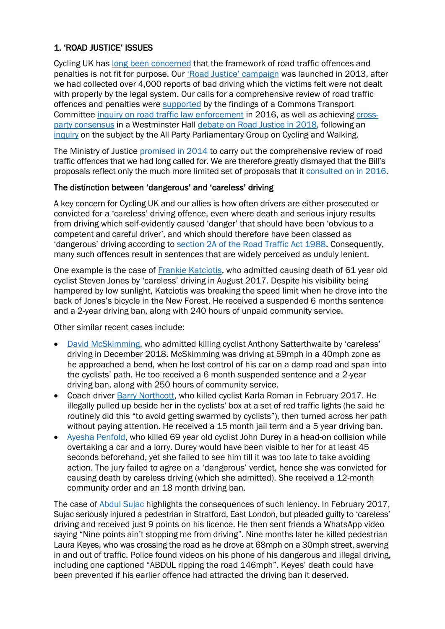# 1. 'ROAD JUSTICE' ISSUES

Cycling UK has [long been concerned](https://publications.parliament.uk/pa/cm200708/cmselect/cmjust/407/8030411.htm) that the framework of road traffic offences and penalties is not fit for purpose. Our ['Road Justice' campaign](https://www.cyclinguk.org/news/ctc-launches-road-justice-campaign) was launched in 2013, after we had collected over 4,000 reports of bad driving which the victims felt were not dealt with properly by the legal system. Our calls for a comprehensive review of road traffic offences and penalties were [supported](https://www.cyclinguk.org/blog/cherry-allan/mps-back-ctc%E2%80%99s-calls-road-traffic-law-enforcement) by the findings of a Commons Transport Committee [inquiry on road traffic law enforcement](https://publications.parliament.uk/pa/cm201516/cmselect/cmtrans/518/51802.htm) in 2016, as well as achieving [cross](https://www.cyclinguk.org/news/mps-criticise-inconsistent-laws-road-justice-debate)[party consensus](https://www.cyclinguk.org/news/mps-criticise-inconsistent-laws-road-justice-debate) in a Westminster Hall [debate on Road Justice in 2018,](https://hansard.parliament.uk/Commons/2018-11-20/debates/7CCA537F-54DB-4F17-92AE-60DABD4137C6/RoadSafetyAndTheLegalFramework) following an [inquiry](https://allpartycycling.org/resources/inquiries/justice/) on the subject by the All Party Parliamentary Group on Cycling and Walking.

The Ministry of Justice [promised in 2014](https://www.cyclinguk.org/news/government-announces-full-review-of-driving-offences-and-penalties) to carry out the comprehensive review of road traffic offences that we had long called for. We are therefore greatly dismayed that the Bill's proposals reflect only the much more limited set of proposals that it [consulted on in 2016.](https://www.cyclinguk.org/blog/duncandollimore/9000)

# The distinction between 'dangerous' and 'careless' driving

A key concern for Cycling UK and our allies is how often drivers are either prosecuted or convicted for a 'careless' driving offence, even where death and serious injury results from driving which self-evidently caused 'danger' that should have been 'obvious to a competent and careful driver', and which should therefore have been classed as 'dangerous' driving according to [section 2A of the Road Traffic Act 1988.](https://www.legislation.gov.uk/ukpga/1988/52/section/2A) Consequently, many such offences result in sentences that are widely perceived as unduly lenient.

One example is the case of [Frankie Katciotis,](https://www.dailyecho.co.uk/news/16189825.frankie-katciotis-18-banned-driving-two-years-steven-jones-61-killed-accident-near-beaulieu/) who admitted causing death of 61 year old cyclist Steven Jones by 'careless' driving in August 2017. Despite his visibility being hampered by low sunlight, Katciotis was breaking the speed limit when he drove into the back of Jones's bicycle in the New Forest. He received a suspended 6 months sentence and a 2-year driving ban, along with 240 hours of unpaid community service.

Other similar recent cases include:

- [David McSkimming,](https://www.expressandstar.com/news/crime/2020/09/04/man-admits-careless-driving-in-fatal-crash/) who admitted killing cyclist Anthony Satterthwaite by 'careless' driving in December 2018. McSkimming was driving at 59mph in a 40mph zone as he approached a bend, when he lost control of his car on a damp road and span into the cyclists' path. He too received a 6 month suspended sentence and a 2-year driving ban, along with 250 hours of community service.
- Coach driver [Barry Northcott,](https://www.standard.co.uk/news/crime/coach-driver-who-killed-young-architect-karla-roman-as-she-cycled-to-work-jailed-a3942281.html) who killed cyclist Karla Roman in February 2017. He illegally pulled up beside her in the cyclists' box at a set of red traffic lights (he said he routinely did this "to avoid getting swarmed by cyclists"), then turned across her path without paying attention. He received a 15 month jail term and a 5 year driving ban.
- [Ayesha Penfold,](https://www.kentonline.co.uk/romney-marsh/news/driver-avoids-jail-after-admitting-causing-cyclists-death-184267/) who killed 69 year old cyclist John Durey in a head-on collision while overtaking a car and a lorry. Durey would have been visible to her for at least 45 seconds beforehand, yet she failed to see him till it was too late to take avoiding action. The jury failed to agree on a 'dangerous' verdict, hence she was convicted for causing death by careless driving (which she admitted). She received a 12-month community order and an 18 month driving ban.

The case of [Abdul Sujac](https://www.standard.co.uk/news/crime/jailed-killer-driver-who-boasted-of-doing-146mph-and-sent-bragging-videos-of-dodging-ban-on-whatsapp-a3966506.html) highlights the consequences of such leniency. In February 2017, Sujac seriously injured a pedestrian in Stratford, East London, but pleaded guilty to 'careless' driving and received just 9 points on his licence. He then sent friends a WhatsApp video saying "Nine points ain't stopping me from driving". Nine months later he killed pedestrian Laura Keyes, who was crossing the road as he drove at 68mph on a 30mph street, swerving in and out of traffic. Police found videos on his phone of his dangerous and illegal driving, including one captioned "ABDUL ripping the road 146mph". Keyes' death could have been prevented if his earlier offence had attracted the driving ban it deserved.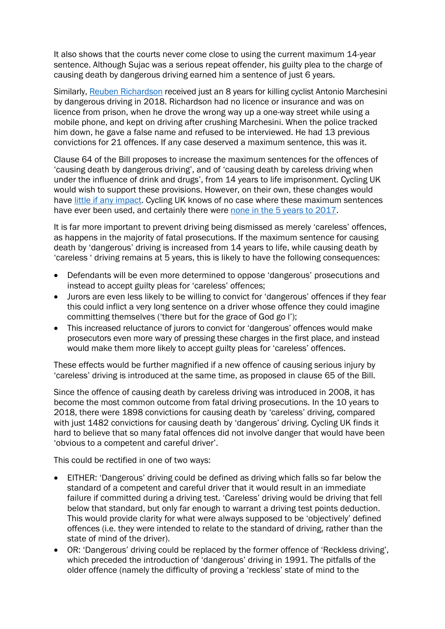It also shows that the courts never come close to using the current maximum 14-year sentence. Although Sujac was a serious repeat offender, his guilty plea to the charge of causing death by dangerous driving earned him a sentence of just 6 years.

Similarly, [Reuben Richardson](https://www.independent.co.uk/news/uk/crime/hit-run-driver-london-cyclist-death-deptford-antonio-marchesini-a9133326.html) received just an 8 years for killing cyclist Antonio Marchesini by dangerous driving in 2018. Richardson had no licence or insurance and was on licence from prison, when he drove the wrong way up a one-way street while using a mobile phone, and kept on driving after crushing Marchesini. When the police tracked him down, he gave a false name and refused to be interviewed. He had 13 previous convictions for 21 offences. If any case deserved a maximum sentence, this was it.

Clause 64 of the Bill proposes to increase the maximum sentences for the offences of 'causing death by dangerous driving', and of 'causing death by careless driving when under the influence of drink and drugs', from 14 years to life imprisonment. Cycling UK would wish to support these provisions. However, on their own, these changes would have [little if any impact.](https://www.cyclinguk.org/blog/why-increasing-maximum-sentences-killer-drivers-doesnt-fix-problem) Cycling UK knows of no case where these maximum sentences have ever been used, and certainly there were [none in the 5 years to 2017.](https://questions-statements.parliament.uk/written-questions/detail/2019-03-11/230792)

It is far more important to prevent driving being dismissed as merely 'careless' offences, as happens in the majority of fatal prosecutions. If the maximum sentence for causing death by 'dangerous' driving is increased from 14 years to life, while causing death by 'careless ' driving remains at 5 years, this is likely to have the following consequences:

- Defendants will be even more determined to oppose 'dangerous' prosecutions and instead to accept guilty pleas for 'careless' offences;
- Jurors are even less likely to be willing to convict for 'dangerous' offences if they fear this could inflict a very long sentence on a driver whose offence they could imagine committing themselves ('there but for the grace of God go I');
- This increased reluctance of jurors to convict for 'dangerous' offences would make prosecutors even more wary of pressing these charges in the first place, and instead would make them more likely to accept guilty pleas for 'careless' offences.

These effects would be further magnified if a new offence of causing serious injury by 'careless' driving is introduced at the same time, as proposed in clause 65 of the Bill.

Since the offence of causing death by careless driving was introduced in 2008, it has become the most common outcome from fatal driving prosecutions. In the 10 years to 2018, there were 1898 convictions for causing death by 'careless' driving, compared with just 1482 convictions for causing death by 'dangerous' driving. Cycling UK finds it hard to believe that so many fatal offences did not involve danger that would have been 'obvious to a competent and careful driver'.

This could be rectified in one of two ways:

- EITHER: 'Dangerous' driving could be defined as driving which falls so far below the standard of a competent and careful driver that it would result in an immediate failure if committed during a driving test. 'Careless' driving would be driving that fell below that standard, but only far enough to warrant a driving test points deduction. This would provide clarity for what were always supposed to be 'objectively' defined offences (i.e. they were intended to relate to the standard of driving, rather than the state of mind of the driver).
- OR: 'Dangerous' driving could be replaced by the former offence of 'Reckless driving', which preceded the introduction of 'dangerous' driving in 1991. The pitfalls of the older offence (namely the difficulty of proving a 'reckless' state of mind to the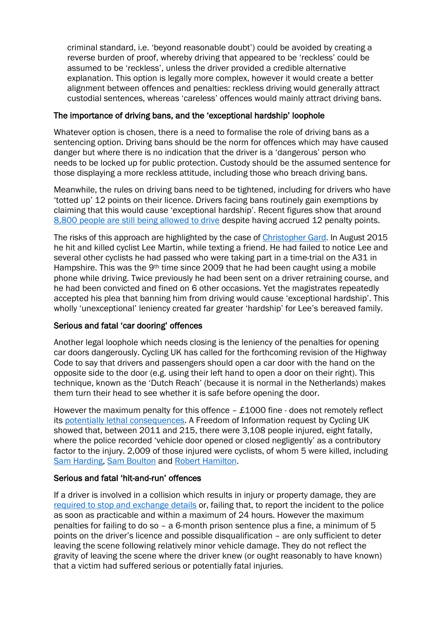criminal standard, i.e. 'beyond reasonable doubt') could be avoided by creating a reverse burden of proof, whereby driving that appeared to be 'reckless' could be assumed to be 'reckless', unless the driver provided a credible alternative explanation. This option is legally more complex, however it would create a better alignment between offences and penalties: reckless driving would generally attract custodial sentences, whereas 'careless' offences would mainly attract driving bans.

### The importance of driving bans, and the 'exceptional hardship' loophole

Whatever option is chosen, there is a need to formalise the role of driving bans as a sentencing option. Driving bans should be the norm for offences which may have caused danger but where there is no indication that the driver is a 'dangerous' person who needs to be locked up for public protection. Custody should be the assumed sentence for those displaying a more reckless attitude, including those who breach driving bans.

Meanwhile, the rules on driving bans need to be tightened, including for drivers who have 'totted up' 12 points on their licence. Drivers facing bans routinely gain exemptions by claiming that this would cause 'exceptional hardship'. Recent figures show that around [8,800 people are still being allowed to drive](https://www.iamroadsmart.com/media-policy/newsroom/news-details/2021/03/09/life-in-the-fast-lane-pensioners-have-more-penalty-points-than-young-drivers-says-iam-roadsmart) despite having accrued 12 penalty points.

The risks of this approach are highlighted by the case of [Christopher Gard.](https://www.cyclinguk.org/news/magistrates-allowed-texting-driver-keep-licence-lee-lost-life) In August 2015 he hit and killed cyclist Lee Martin, while texting a friend. He had failed to notice Lee and several other cyclists he had passed who were taking part in a time-trial on the A31 in Hampshire. This was the 9th time since 2009 that he had been caught using a mobile phone while driving. Twice previously he had been sent on a driver retraining course, and he had been convicted and fined on 6 other occasions. Yet the magistrates repeatedly accepted his plea that banning him from driving would cause 'exceptional hardship'. This wholly 'unexceptional' leniency created far greater 'hardship' for Lee's bereaved family.

# Serious and fatal 'car dooring' offences

Another legal loophole which needs closing is the leniency of the penalties for opening car doors dangerously. Cycling UK has called for the forthcoming revision of the Highway Code to say that drivers and passengers should open a car door with the hand on the opposite side to the door (e.g. using their left hand to open a door on their right). This technique, known as the 'Dutch Reach' (because it is normal in the Netherlands) makes them turn their head to see whether it is safe before opening the door.

However the maximum penalty for this offence  $-$  £1000 fine  $-$  does not remotely reflect its [potentially lethal consequences.](https://www.cyclinguk.org/article/how-could-law-protect-cyclists-better-car-dooring-or-drivers-who-fail-stop) A Freedom of Information request by Cycling UK showed that, between 2011 and 215, there were 3,108 people injured, eight fatally, where the police recorded 'vehicle door opened or closed negligently' as a contributory factor to the injury. 2,009 of those injured were cyclists, of whom 5 were killed, including [Sam Harding,](https://www.bbc.co.uk/news/uk-england-london-20725496) [Sam Boulton](https://www.cyclinguk.org/press-release/2017-06-05/taxi-driver-convicted-%E2%80%98car-dooring%E2%80%99-incident-caused-cyclist-death) and [Robert Hamilton.](https://www.liverpoolecho.co.uk/news/liverpool-news/merseyside-woman-who-caused-cyclist-7729343)

# Serious and fatal 'hit-and-run' offences

If a driver is involved in a collision which results in injury or property damage, they are [required to stop and exchange details](https://www.legislation.gov.uk/ukpga/1988/52/section/170) or, failing that, to report the incident to the police as soon as practicable and within a maximum of 24 hours. However the maximum penalties for failing to do so – a 6-month prison sentence plus a fine, a minimum of 5 points on the driver's licence and possible disqualification – are only sufficient to deter leaving the scene following relatively minor vehicle damage. They do not reflect the gravity of leaving the scene where the driver knew (or ought reasonably to have known) that a victim had suffered serious or potentially fatal injuries.